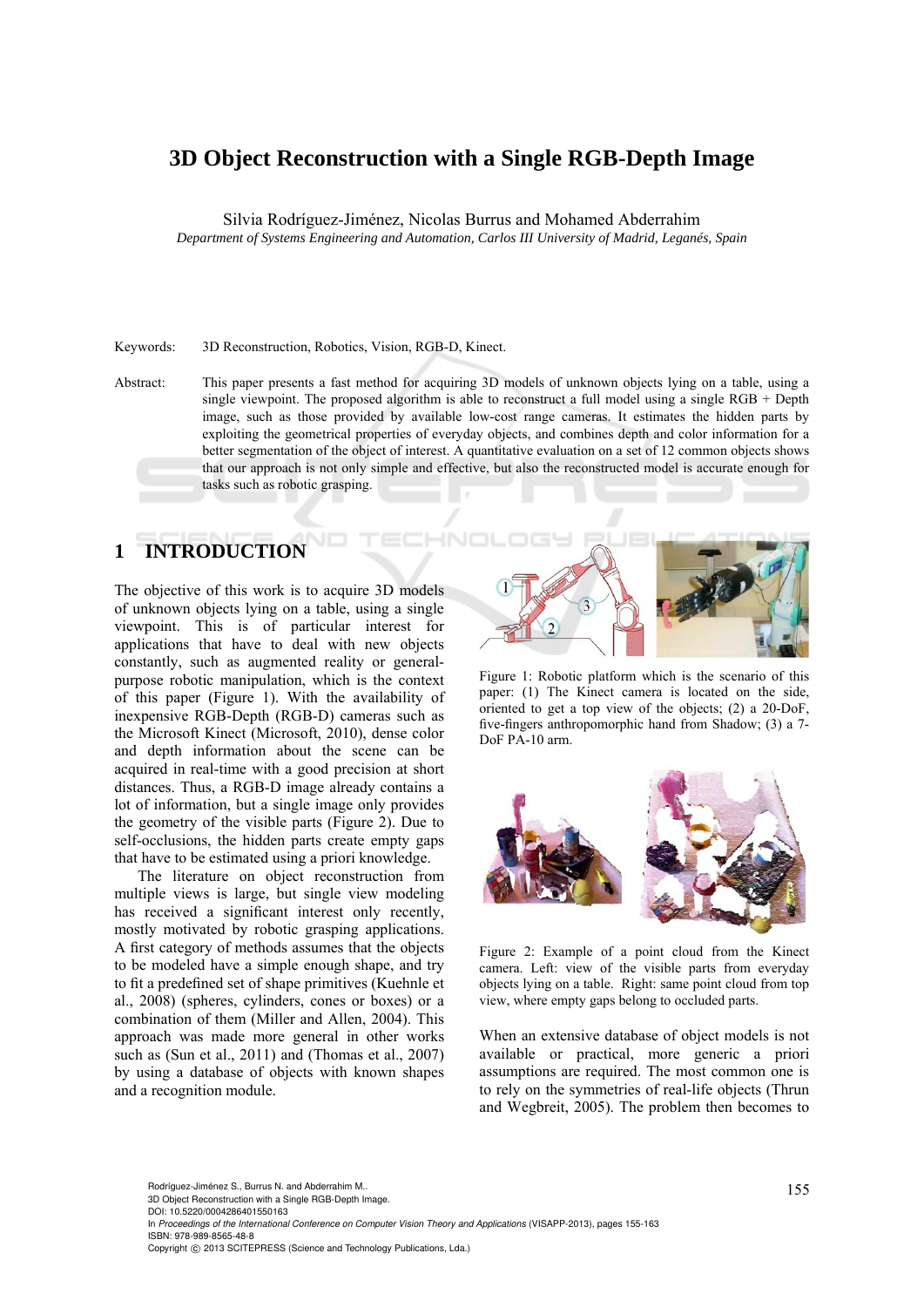# **3D Object Reconstruction with a Single RGB-Depth Image**

Silvia Rodríguez-Jiménez, Nicolas Burrus and Mohamed Abderrahim

*Department of Systems Engineering and Automation, Carlos III University of Madrid, Leganés, Spain* 

### Keywords: 3D Reconstruction, Robotics, Vision, RGB-D, Kinect.

Abstract: This paper presents a fast method for acquiring 3D models of unknown objects lying on a table, using a single viewpoint. The proposed algorithm is able to reconstruct a full model using a single RGB + Depth image, such as those provided by available low-cost range cameras. It estimates the hidden parts by exploiting the geometrical properties of everyday objects, and combines depth and color information for a better segmentation of the object of interest. A quantitative evaluation on a set of 12 common objects shows that our approach is not only simple and effective, but also the reconstructed model is accurate enough for tasks such as robotic grasping.

# **1 INTRODUCTION**

The objective of this work is to acquire 3D models of unknown objects lying on a table, using a single viewpoint. This is of particular interest for applications that have to deal with new objects constantly, such as augmented reality or generalpurpose robotic manipulation, which is the context of this paper (Figure 1). With the availability of inexpensive RGB-Depth (RGB-D) cameras such as the Microsoft Kinect (Microsoft, 2010), dense color and depth information about the scene can be acquired in real-time with a good precision at short distances. Thus, a RGB-D image already contains a lot of information, but a single image only provides the geometry of the visible parts (Figure 2). Due to self-occlusions, the hidden parts create empty gaps that have to be estimated using a priori knowledge.

The literature on object reconstruction from multiple views is large, but single view modeling has received a significant interest only recently, mostly motivated by robotic grasping applications. A first category of methods assumes that the objects to be modeled have a simple enough shape, and try to fit a predefined set of shape primitives (Kuehnle et al., 2008) (spheres, cylinders, cones or boxes) or a combination of them (Miller and Allen, 2004). This approach was made more general in other works such as (Sun et al., 2011) and (Thomas et al., 2007) by using a database of objects with known shapes and a recognition module.



Figure 1: Robotic platform which is the scenario of this paper: (1) The Kinect camera is located on the side, oriented to get a top view of the objects; (2) a 20-DoF, five-fingers anthropomorphic hand from Shadow; (3) a 7- DoF PA-10 arm.



Figure 2: Example of a point cloud from the Kinect camera. Left: view of the visible parts from everyday objects lying on a table. Right: same point cloud from top view, where empty gaps belong to occluded parts.

When an extensive database of object models is not available or practical, more generic a priori assumptions are required. The most common one is to rely on the symmetries of real-life objects (Thrun and Wegbreit, 2005). The problem then becomes to

Rodríguez-Jiménez S., Burrus N. and Abderrahim M..<br>3D Object Reconstruction with a Single RGB-Depth Image. DOI: 10.5220/0004286401550163

In *Proceedings of the International Conference on Computer Vision Theory and Applications* (VISAPP-2013), pages 155-163 ISBN: 978-989-8565-48-8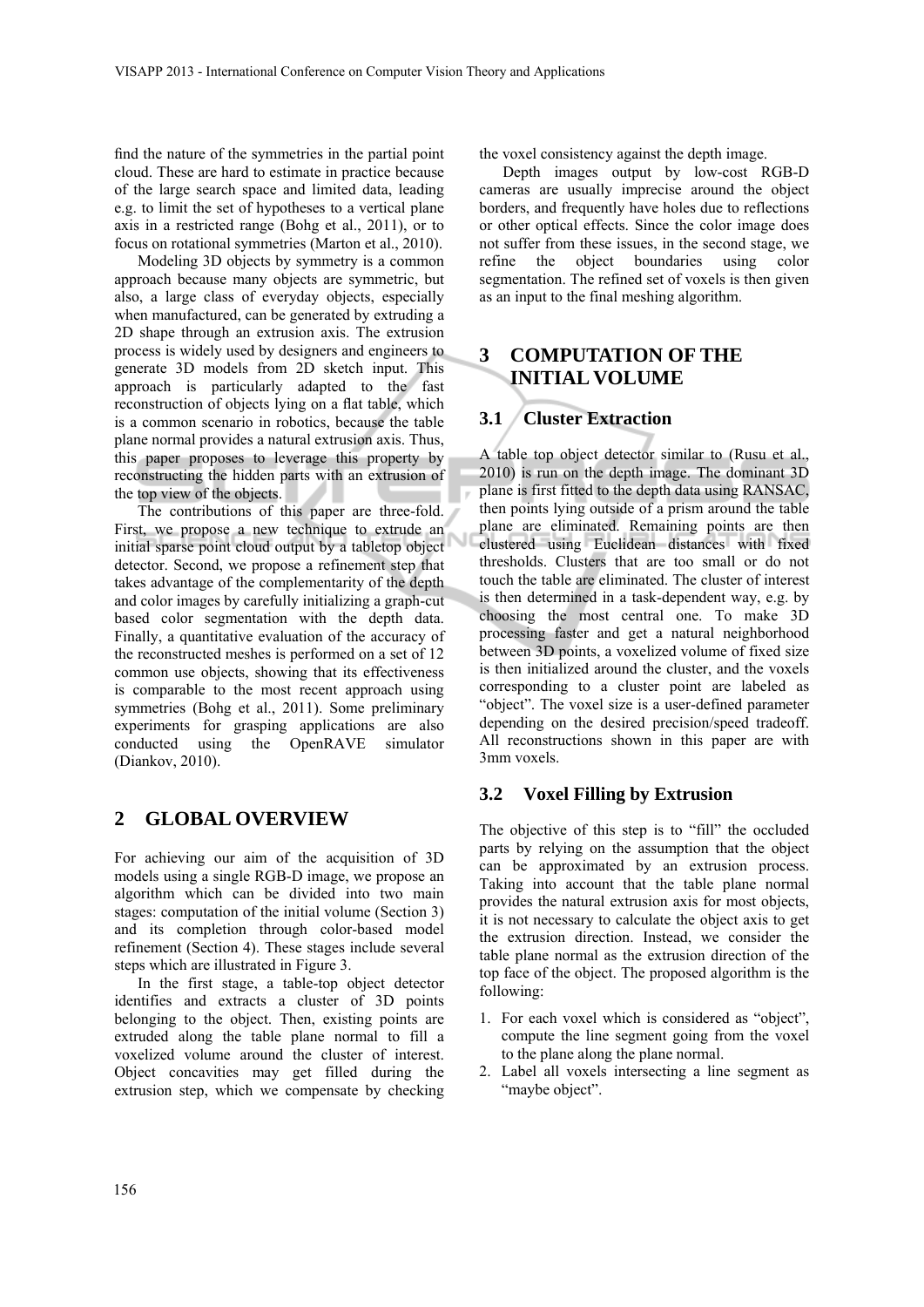find the nature of the symmetries in the partial point cloud. These are hard to estimate in practice because of the large search space and limited data, leading e.g. to limit the set of hypotheses to a vertical plane axis in a restricted range (Bohg et al., 2011), or to focus on rotational symmetries (Marton et al., 2010).

Modeling 3D objects by symmetry is a common approach because many objects are symmetric, but also, a large class of everyday objects, especially when manufactured, can be generated by extruding a 2D shape through an extrusion axis. The extrusion process is widely used by designers and engineers to generate 3D models from 2D sketch input. This approach is particularly adapted to the fast reconstruction of objects lying on a flat table, which is a common scenario in robotics, because the table plane normal provides a natural extrusion axis. Thus, this paper proposes to leverage this property by reconstructing the hidden parts with an extrusion of the top view of the objects.

The contributions of this paper are three-fold. First, we propose a new technique to extrude an initial sparse point cloud output by a tabletop object detector. Second, we propose a refinement step that takes advantage of the complementarity of the depth and color images by carefully initializing a graph-cut based color segmentation with the depth data. Finally, a quantitative evaluation of the accuracy of the reconstructed meshes is performed on a set of 12 common use objects, showing that its effectiveness is comparable to the most recent approach using symmetries (Bohg et al., 2011). Some preliminary experiments for grasping applications are also conducted using the OpenRAVE simulator (Diankov, 2010).

## **2 GLOBAL OVERVIEW**

For achieving our aim of the acquisition of 3D models using a single RGB-D image, we propose an algorithm which can be divided into two main stages: computation of the initial volume (Section 3) and its completion through color-based model refinement (Section 4). These stages include several steps which are illustrated in Figure 3.

In the first stage, a table-top object detector identifies and extracts a cluster of 3D points belonging to the object. Then, existing points are extruded along the table plane normal to fill a voxelized volume around the cluster of interest. Object concavities may get filled during the extrusion step, which we compensate by checking the voxel consistency against the depth image.

Depth images output by low-cost RGB-D cameras are usually imprecise around the object borders, and frequently have holes due to reflections or other optical effects. Since the color image does not suffer from these issues, in the second stage, we refine the object boundaries using color segmentation. The refined set of voxels is then given as an input to the final meshing algorithm.

## **3 COMPUTATION OF THE INITIAL VOLUME**

## **3.1 Cluster Extraction**

A table top object detector similar to (Rusu et al., 2010) is run on the depth image. The dominant 3D plane is first fitted to the depth data using RANSAC, then points lying outside of a prism around the table plane are eliminated. Remaining points are then clustered using Euclidean distances with fixed thresholds. Clusters that are too small or do not touch the table are eliminated. The cluster of interest is then determined in a task-dependent way, e.g. by choosing the most central one. To make 3D processing faster and get a natural neighborhood between 3D points, a voxelized volume of fixed size is then initialized around the cluster, and the voxels corresponding to a cluster point are labeled as "object". The voxel size is a user-defined parameter depending on the desired precision/speed tradeoff. All reconstructions shown in this paper are with 3mm voxels.

### **3.2 Voxel Filling by Extrusion**

The objective of this step is to "fill" the occluded parts by relying on the assumption that the object can be approximated by an extrusion process. Taking into account that the table plane normal provides the natural extrusion axis for most objects, it is not necessary to calculate the object axis to get the extrusion direction. Instead, we consider the table plane normal as the extrusion direction of the top face of the object. The proposed algorithm is the following:

- 1. For each voxel which is considered as "object", compute the line segment going from the voxel to the plane along the plane normal.
- 2. Label all voxels intersecting a line segment as "maybe object".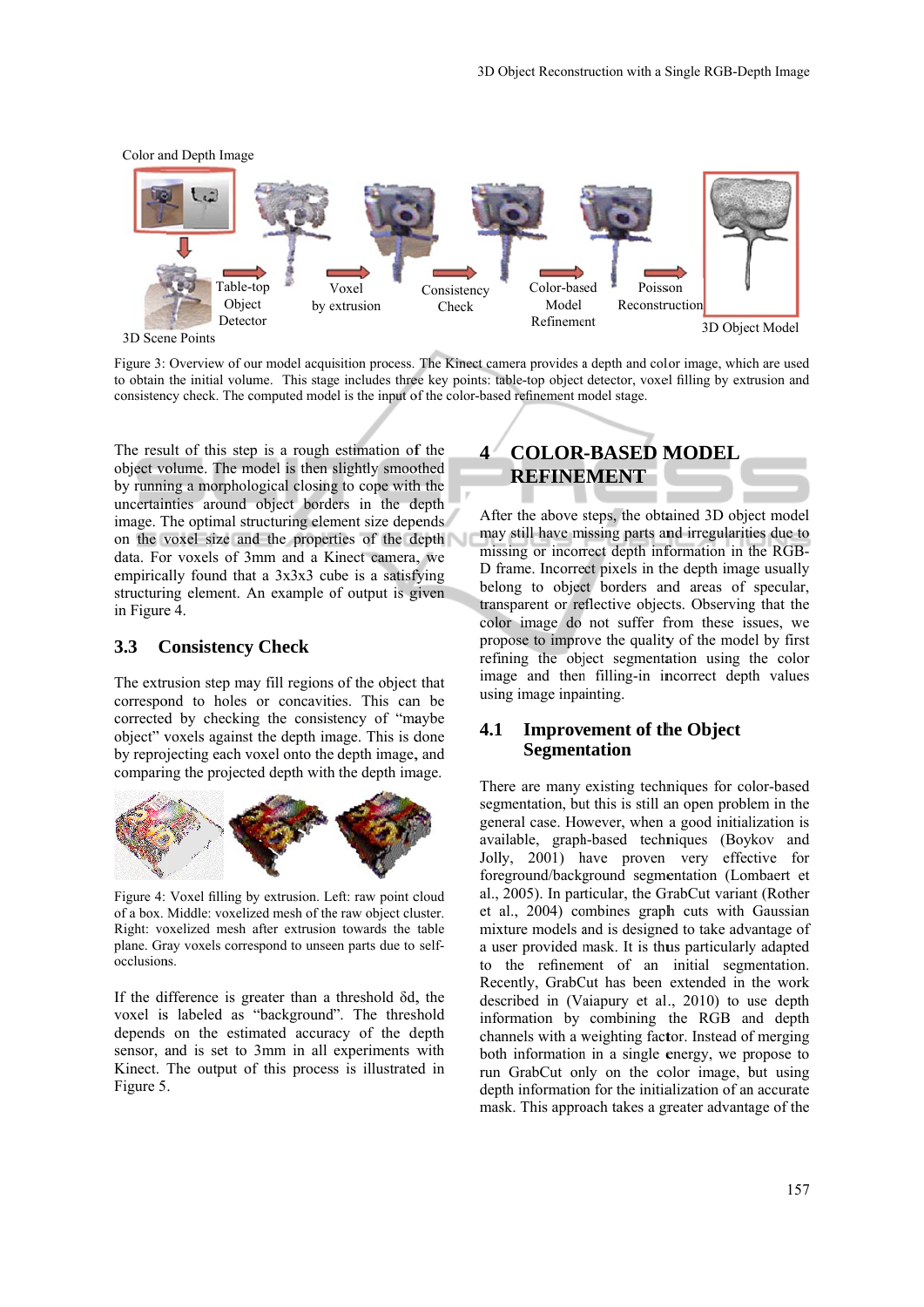

Figure 3: Overview of our model acquisition process. The Kinect camera provides a depth and color image, which are used to obtain the initial volume. This stage includes three key points: table-top object detector, voxel filling by extrusion and consistency check. The computed model is the input of the color-based refinement model stage.

The result of this step is a rough estimation of the object volume. The model is then slightly smoothed by running a morphological closing to cope with the uncertainties around object borders in the depth image. The optimal structuring element size depends on the voxel size and the properties of the depth data. For voxels of 3mm and a Kinect camera, we empirically found that a  $3x3x3$  cube is a satisfying structuring element. An example of output is given in Figure 4.

#### $3.3<sup>°</sup>$ **Consistency Check**

The extrusion step may fill regions of the object that correspond to holes or concavities. This can be corrected by checking the consistency of "maybe object" voxels against the depth image. This is done by reprojecting each voxel onto the depth image, and comparing the projected depth with the depth image.



Figure 4: Voxel filling by extrusion. Left: raw point cloud of a box. Middle: voxelized mesh of the raw object cluster. Right: voxelized mesh after extrusion towards the table plane. Gray voxels correspond to unseen parts due to selfocclusions.

If the difference is greater than a threshold  $\delta d$ , the voxel is labeled as "background". The threshold depends on the estimated accuracy of the depth sensor, and is set to 3mm in all experiments with Kinect. The output of this process is illustrated in Figure 5 .

### **4 COLOR -BASED M MODEL REFINE EMENT**

After the above steps, the obtained 3D object model may still have missing parts and irregularities due to missing or incorrect depth information in the RGB-D frame. Incorrect pixels in the depth image usually belong to object borders and areas of specular, transparent or reflective objects. Observing that the color image do not suffer from these issues, we propose to improve the quality of the model by first refining the object segmentation using the color image and then filling-in incorrect depth values using image inpainting.

### **4.1** 1 Improvement of the Object **Segmentation**

There are many existing techniques for color-based segmentation, but this is still an open problem in the general case. However, when a good initialization is available, graph-based techniques (Boykov and Jolly, 2001) have proven very effective for foreground/background segmentation (Lombaert et al., 2005). In particular, the GrabCut variant (Rother et al., 2004) combines graph cuts with Gaussian mixture models and is designed to take advantage of a user provided mask. It is thus particularly adapted to the refinement of an initial segmentation. Rec cently, GrabC Cut has been extended in the work described in (Vaiapury et al., 2010) to use depth information by combining the RGB and depth channels with a weighting factor. Instead of merging both information in a single energy, we propose to run GrabCut only on the color image, but using depth information for the initialization of an accurate mask. This approach takes a greater advantage of the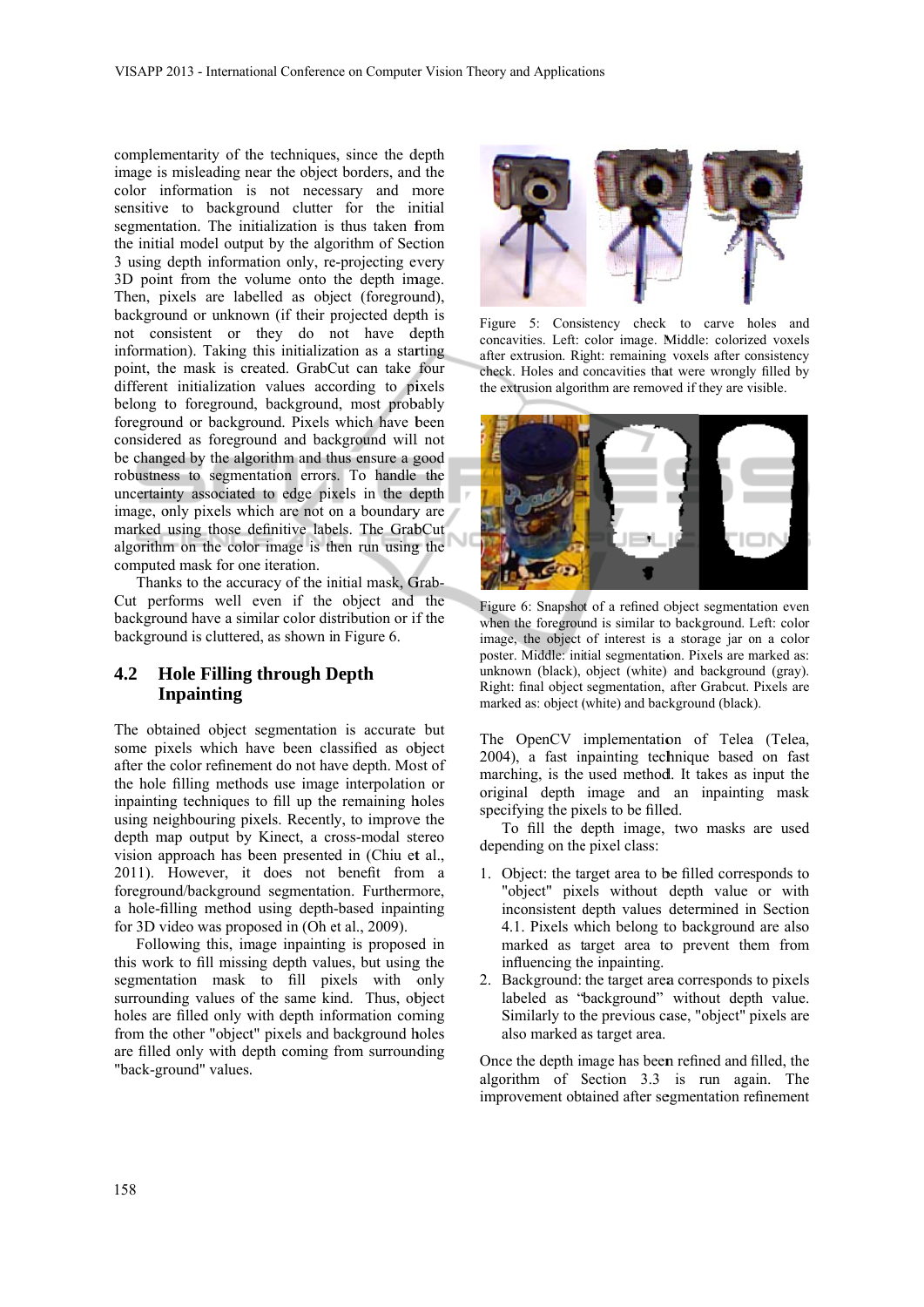complementarity of the techniques, since the depth image is misleading near the object borders, and the color information is not necessary and more sensitive to background clutter for the initial segmentation. The initialization is thus taken from the initial model output by the algorithm of Section 3 using depth information only, re-projecting every 3D point from the volume onto the depth image. Then, pixels are labelled as object (foreground), background or unknown (if their projected depth is not consistent or they do not have depth information). Taking this initialization as a starting point, the mask is created. GrabCut can take four different initialization values according to pixels belong to foreground, background, most probably foreground or background. Pixels which have been considered as foreground and background will not be changed by the algorithm and thus ensure a good robustness to segmentation errors. To handle the uncertainty associated to edge pixels in the depth image, only pixels which are not on a boundary are marked using those definitive labels. The GrabCut algorithm on the color image is then run using the computed mask for one iteration. the techniques, since the definitions and a<br>since the deformation of the constant and the since the orientation<br>ound clutter for the iritialization is thus taken to<br>und clutter for the iritialization is thus taken to<br>under

Thanks to the accuracy of the initial mask, Grab-Cut performs well even if the object and the background have a similar color distribution or if the background is cluttered, as shown in Figure 6.

### **4.2 H In npainting Hole Filling through Depth**

The obtained object segmentation is accurate but some pixels which have been classified as object after the color refinement do not have depth. Most of the hole filling methods use image interpolation or inpainting techniques to fill up the remaining holes using neighbouring pixels. Recently, to improve the depth map output by Kinect, a cross-modal stereo vision approach has been presented in (Chiu et al., 2011). However, it does not benefit from a foreground/background segmentation. Furthermore, a hole-filling method using depth-based inpainting for 3D video was proposed in (Oh et al., 2009).

Following this, image inpainting is proposed in this work to fill missing depth values, but using the segmentation mask to fill pixels with only surrounding values of the same kind. Thus, object holes are filled only with depth information coming from the other "object" pixels and background holes are filled only with depth coming from surrounding "back-ground" values.



Figure 5: Consistency check to carve holes and concavities. Left: color image. Middle: colorized voxels after extrusion. Right: remaining voxels after consistency check. Holes and concavities that were wrongly filled by the extrusion algorithm are removed if they are visible.



Figure 6: Snapshot of a refined object segmentation even when the foreground is similar to background. Left: color image, the object of interest is a storage jar on a color poster. Middle: initial segmentation. Pixels are marked as: unknown (black), object (white) and background (gray). Right: final object segmentation, after Grabcut. Pixels are marked as: object (white) and background (black).

The OpenCV implementation of Telea (Telea, 2004), a fast inpainting technique based on fast marching, is the used method. It takes as input the original depth image and an inpainting mask specifying the pixels to be filled.

depending on the pixel class: To fill the d depth image, two masks are used

- 1. Object: the target area to be filled corresponds to "object" pixels without depth value or with inconsistent depth values determined in Section 4.1. Pixels which belong to background are also marked as target area to prevent them from influencing the inpainting.
- 2. Background: the target area a corresponds s to pixels labeled as "background" without depth value. Similarly to the previous case, "object" pixels are also marked a as target area.

Once the depth image has been refined and filled, the algorithm of Section 3.3 is run again. The improvement obtained after segmentation refinement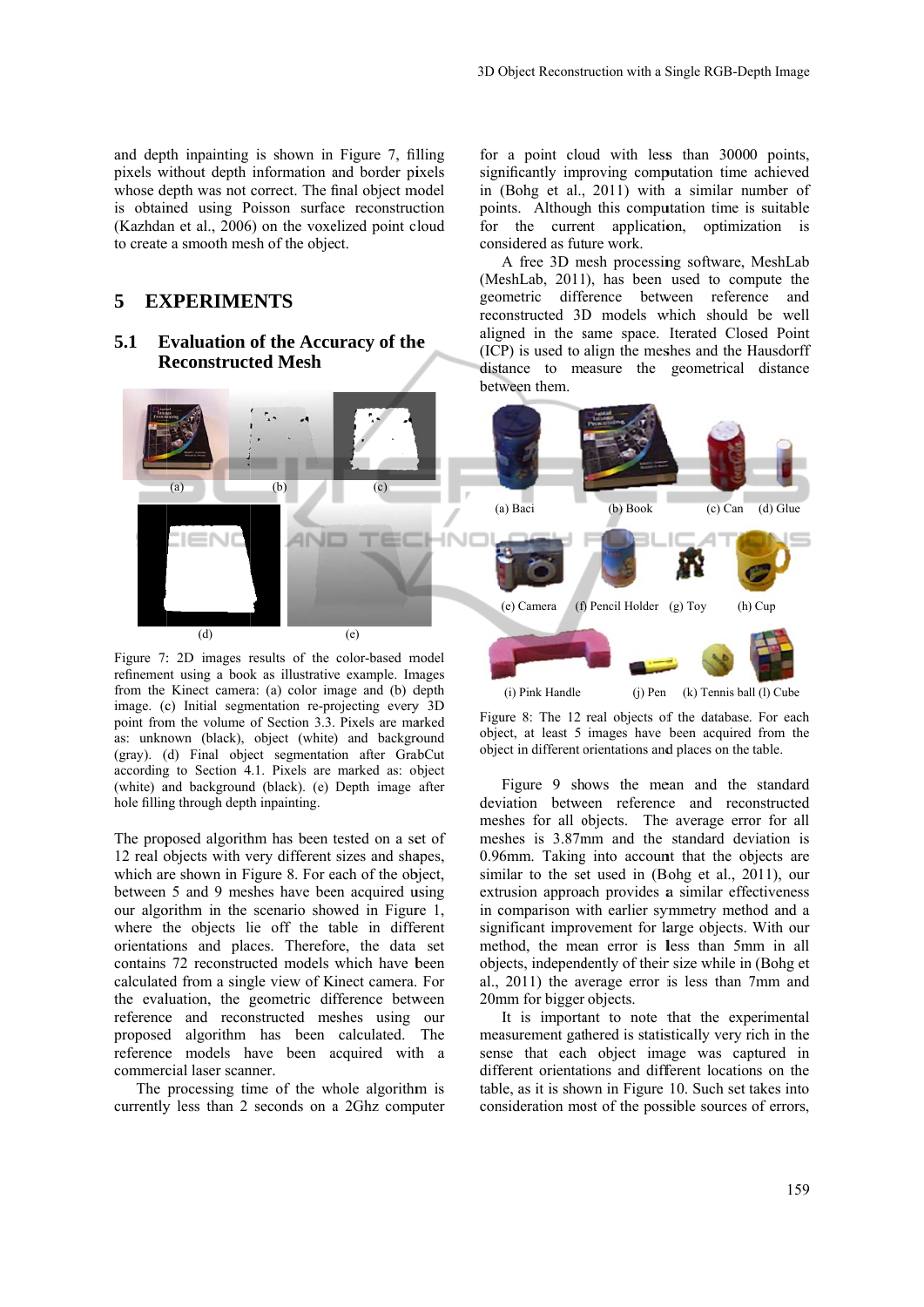and depth inpainting is shown in Figure 7, filling pixels without depth information and border pixels whose depth was not correct. The final object model is obtained using Poisson surface reconstruction (Kazhdan et al., 2006) on the voxelized point cloud to create a smooth mesh of the object.

## 5 **EXPERIMENTS**

#### **5.1 E Reconstructed Mesh Evaluation of the Accuracy of the**



Figure 7: 2D images results of the color-based model refinement using a book as illustrative example. Images from the Kinect camera: (a) color image and (b) depth image. (c) Initial segmentation re-projecting every 3D point from the volume of Section 3.3. Pixels are marked as: unknown (black), object (white) and background (gray). (d) Final object segmentation after GrabCut according to Section 4.1. Pixels are marked as: object (white) and background (black). (e) Depth image after hole filling through depth inpainting.

The proposed algorithm has been tested on a set of 12 real objects with very different sizes and shapes, which are shown in Figure 8. For each of the object, between 5 and 9 meshes have been acquired using our algorithm in the scenario showed in Figure 1, where the objects lie off the table in different orientations and places. Therefore, the data set contains 72 reconstructed models which have been calculated from a single view of Kinect camera. For the evaluation, the geometric difference between reference and reconstructed meshes using our proposed d algorithm has been calculated. The reference models have been acquired with a commercial laser scanner.

The processing time of the whole algorithm is currently less than 2 seconds on a 2Ghz computer for a point cloud with less than 30000 points, significantly improving computation time achieved in (Bohg et al., 2011) with a similar number of points. Although this computation time is suitable for the current application, optimization is considered as future work.

(MeshLab, 2011), has been used to compute the geometric difference between reference and reco onstructed 3D D models w which should be well aligned in the same space. Iterated Closed Point (IC P) is used to align the mes shes and the H Hausdorff distance to measure the geometrical distance between them. A free 3D mesh processing software, MeshLab



 (i) Pink Handle (j) Pen (k) Tennis ball (l) Cube

Figure 8: The 12 real objects of the database. For each obje ect, at least 5 images have been acquired d from the object in different orientations and places on the table.

deviation between reference and reconstructed meshes for all objects. The average error for all meshes is 3.87mm and the standard deviation is 0.96mm. Taking into account that the objects are similar to the set used in (Bohg et al., 2011), our extrusion approach provides a similar effectiveness in comparison with earlier symmetry method and a significant improvement for large objects. With our method, the mean error is less than 5mm in all objects, independently of their size while in (Bohg et al., 2011) the average error is less than 7mm and 20mm for bigger objects. Figure 9 shows the mean and the standard

measurement gathered is statistically very rich in the sense that each object image was captured in different orientations and different locations on the table, as it is shown in Figure 10. Such set takes into consideration most of the possible sources of errors, It is important to note that the experimental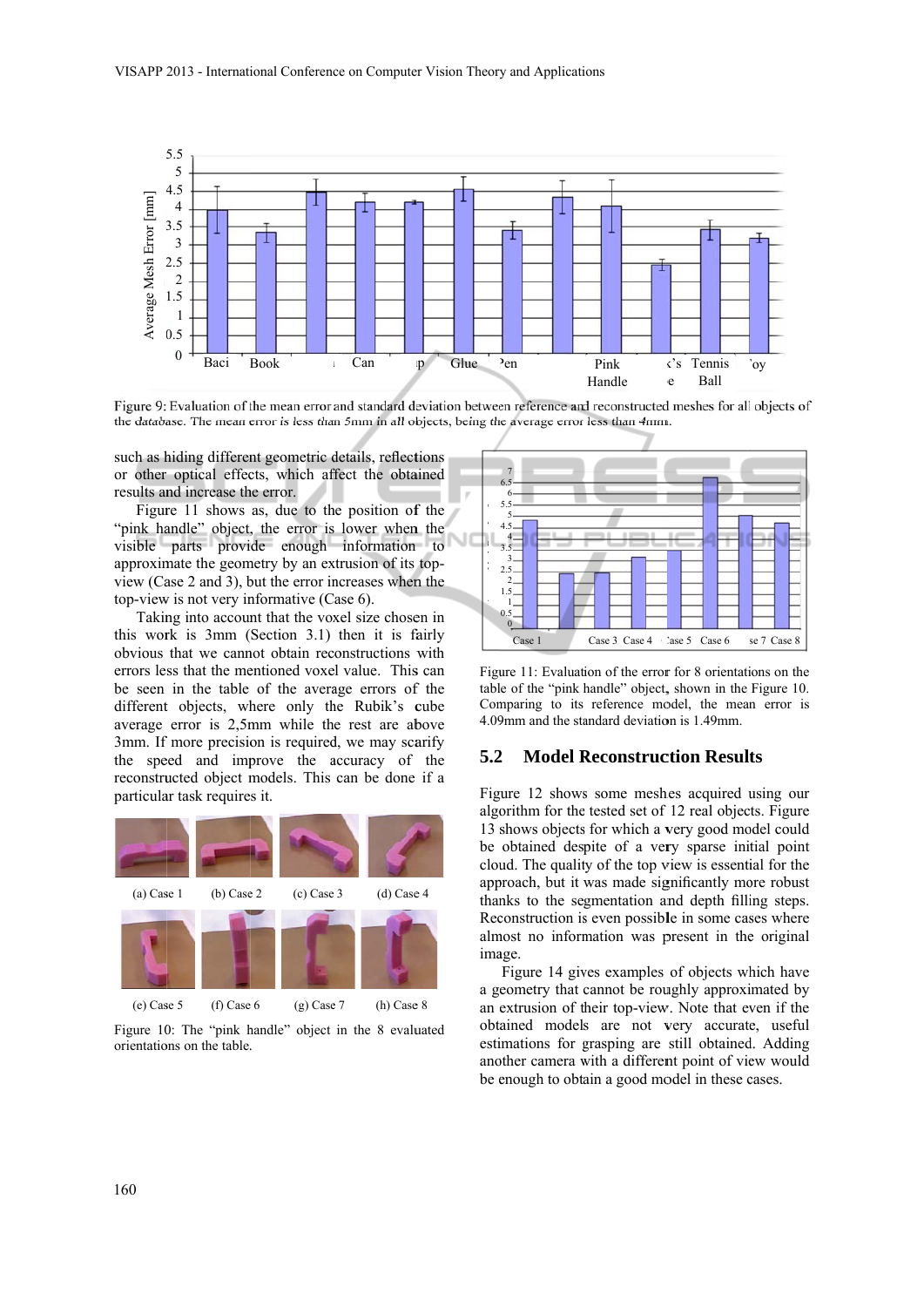

Figure 9: Evaluation of the mean error and standard deviation between reference and reconstructed meshes for all objects of the database. The mean error is less than 5mm in all objects, being the average error less than 4mm.

such as hiding different geometric details, reflections or other optical effects, which affect the obtained results and increase the error.

Figure 11 shows as, due to the position of the "pink handle" object, the error is lower when the visible parts provide enough information to approximate the geometry by an extrusion of its topview (Case 2 and 3), but the error increases when the top-view is not very informative (Case 6).

Taking into account that the voxel size chosen in this work is  $3mm$  (Section 3.1) then it is fairly obvious that we cannot obtain reconstructions with errors less that the mentioned voxel value. This can be seen in the table of the average errors of the different objects, where only the Rubik's cube average error is 2,5mm while the rest are above 3mm. If more precision is required, we may scarify the speed and improve the accuracy of the reconstructed object models. This can be done if a particula ar task require s it.



Figure 10: The "pink handle" object in the 8 evaluated orientations on the table.



Figure 11: Evaluation of the error for 8 orientations on the tabl e of the "pink handle" object, , shown in the Figure 10. Comparing to its reference model, the mean error is 4.09mm and the standard deviation is 1.49mm.

#### **5.2** 2 Model Reconstruction Results

Figure 12 shows some meshes acquired using our algorithm for the tested set of 12 real objects. Figure 13 shows objects for which a very good model could be obtained despite of a very sparse initial point cloud. The quality of the top view is essential for the approach, but it was made significantly more robust thanks to the segmentation and depth filling steps. Reconstruction is even possible in some cases where almost no information was present in the original ima age.

a geometry that cannot be roughly approximated by an extrusion of their top-view. Note that even if the obtained models are not very accurate, useful estimations for grasping are still obtained. Adding another camera with a different point of view would be enough to obtain a good model in these cases. Figure 14 gives examples of objects which have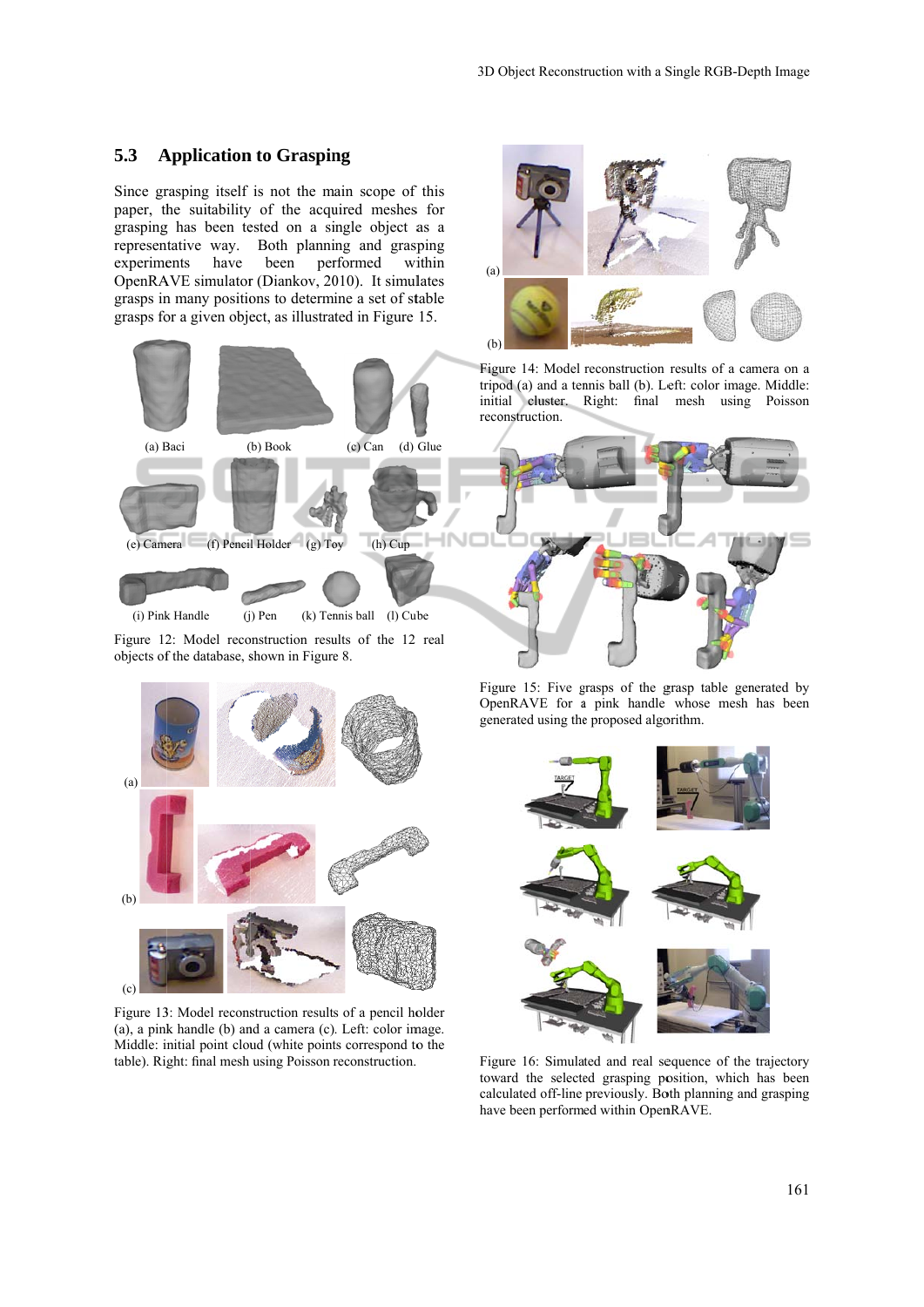#### 5.3 **Application to Grasping**

Since grasping itself is not the main scope of this paper, the suitability of the acquired meshes for grasping has been tested on a single object as a representative way. Both planning and grasping experime OpenRAVE simulator (Diankov, 2010). It simulates grasps in many positions to determine a set of stable grasps for a given object, as illustrated in Figure 15. have been performed within



(i) Pink Handle (j **Pen** (k) Tennis ball (l) Cub  $(1)$  Cube

Figure 12: Model reconstruction results of the 12 real objects of the database, shown in Figure 8.



Figure 13: Model reconstruction results of a pencil holder (a), a pink handle (b) and a camera (c). Left: color image. Middle: initial point cloud (white points correspond to the table). Right: final mesh using Poisson reconstruction.



tripod (a) and a tennis ball (b). Left: color image. Middle: initi ial cluster. Right: final mesh using Poisson reconstruction.



Figure 15: Five grasps of the grasp table generated by OpenRAVE for a pink handle whose mesh has been generated using the proposed algorithm.



Figure 16: Simulated and real sequence of the trajectory toward the selected grasping position, which has been calculated off-line previously. Both planning and grasping have been performed within OpenRAVE.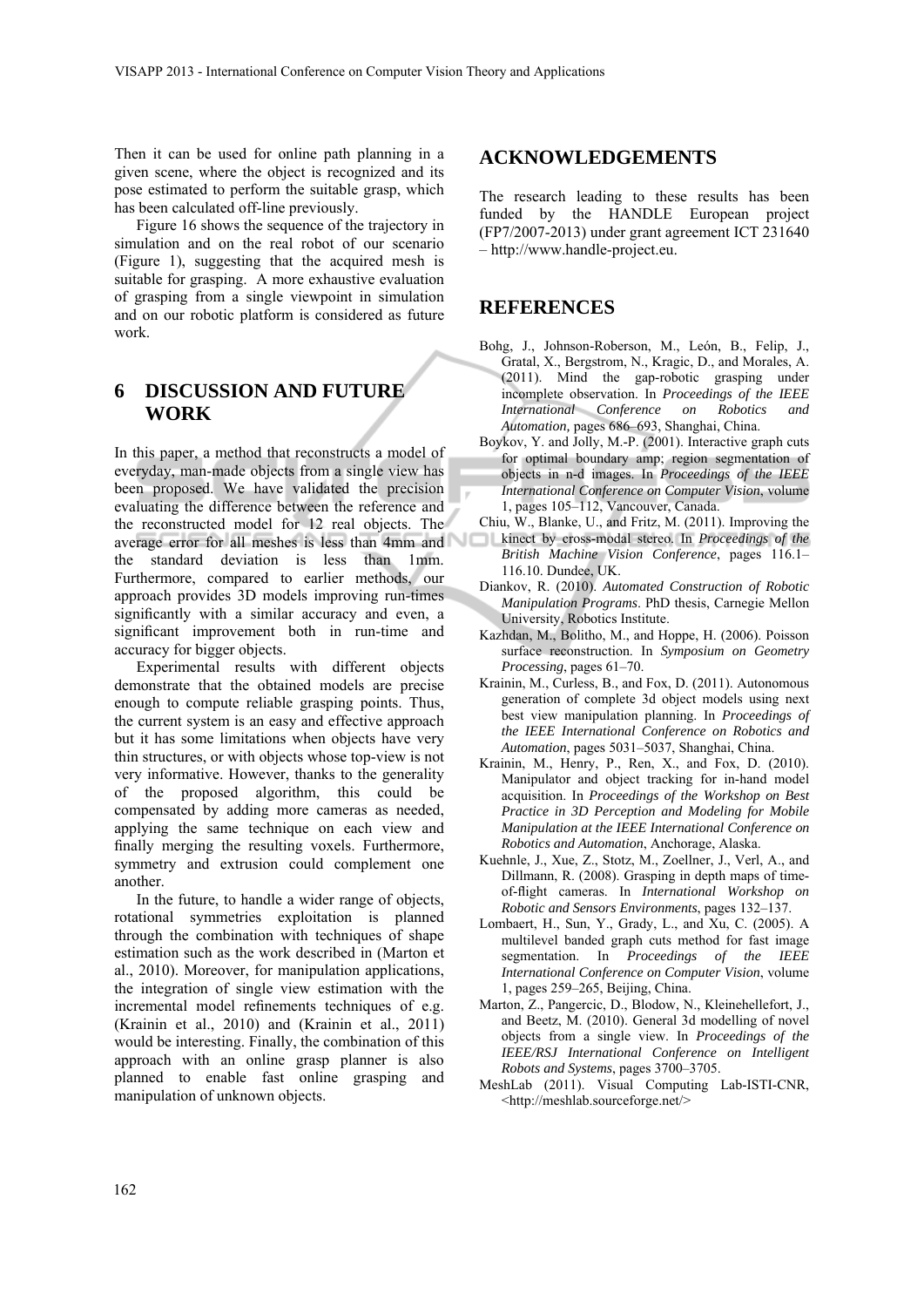Then it can be used for online path planning in a given scene, where the object is recognized and its pose estimated to perform the suitable grasp, which has been calculated off-line previously.

Figure 16 shows the sequence of the trajectory in simulation and on the real robot of our scenario (Figure 1), suggesting that the acquired mesh is suitable for grasping. A more exhaustive evaluation of grasping from a single viewpoint in simulation and on our robotic platform is considered as future work.

# **6 DISCUSSION AND FUTURE WORK**

In this paper, a method that reconstructs a model of everyday, man-made objects from a single view has been proposed. We have validated the precision evaluating the difference between the reference and the reconstructed model for 12 real objects. The average error for all meshes is less than 4mm and the standard deviation is less than 1mm. Furthermore, compared to earlier methods, our approach provides 3D models improving run-times significantly with a similar accuracy and even, a significant improvement both in run-time and accuracy for bigger objects.

Experimental results with different objects demonstrate that the obtained models are precise enough to compute reliable grasping points. Thus, the current system is an easy and effective approach but it has some limitations when objects have very thin structures, or with objects whose top-view is not very informative. However, thanks to the generality of the proposed algorithm, this could be compensated by adding more cameras as needed, applying the same technique on each view and finally merging the resulting voxels. Furthermore, symmetry and extrusion could complement one another.

In the future, to handle a wider range of objects, rotational symmetries exploitation is planned through the combination with techniques of shape estimation such as the work described in (Marton et al., 2010). Moreover, for manipulation applications, the integration of single view estimation with the incremental model refinements techniques of e.g. (Krainin et al., 2010) and (Krainin et al., 2011) would be interesting. Finally, the combination of this approach with an online grasp planner is also planned to enable fast online grasping and manipulation of unknown objects.

## **ACKNOWLEDGEMENTS**

The research leading to these results has been funded by the HANDLE European project (FP7/2007-2013) under grant agreement ICT 231640 – http://www.handle-project.eu.

## **REFERENCES**

- Bohg, J., Johnson-Roberson, M., León, B., Felip, J., Gratal, X., Bergstrom, N., Kragic, D., and Morales, A. (2011). Mind the gap-robotic grasping under incomplete observation. In *Proceedings of the IEEE International Conference on Robotics and Automation,* pages 686–693, Shanghai, China.
- Boykov, Y. and Jolly, M.-P. (2001). Interactive graph cuts for optimal boundary amp; region segmentation of objects in n-d images. In *Proceedings of the IEEE International Conference on Computer Vision*, volume 1, pages 105–112, Vancouver, Canada.
- Chiu, W., Blanke, U., and Fritz, M. (2011). Improving the kinect by cross-modal stereo. In *Proceedings of the British Machine Vision Conference*, pages 116.1– 116.10. Dundee, UK.
- Diankov, R. (2010). *Automated Construction of Robotic Manipulation Programs*. PhD thesis, Carnegie Mellon University, Robotics Institute.
- Kazhdan, M., Bolitho, M., and Hoppe, H. (2006). Poisson surface reconstruction. In *Symposium on Geometry Processing*, pages 61–70.
- Krainin, M., Curless, B., and Fox, D. (2011). Autonomous generation of complete 3d object models using next best view manipulation planning. In *Proceedings of the IEEE International Conference on Robotics and Automation*, pages 5031–5037, Shanghai, China.
- Krainin, M., Henry, P., Ren, X., and Fox, D. (2010). Manipulator and object tracking for in-hand model acquisition. In *Proceedings of the Workshop on Best Practice in 3D Perception and Modeling for Mobile Manipulation at the IEEE International Conference on Robotics and Automation*, Anchorage, Alaska.
- Kuehnle, J., Xue, Z., Stotz, M., Zoellner, J., Verl, A., and Dillmann, R. (2008). Grasping in depth maps of timeof-flight cameras. In *International Workshop on Robotic and Sensors Environments*, pages 132–137.
- Lombaert, H., Sun, Y., Grady, L., and Xu, C. (2005). A multilevel banded graph cuts method for fast image segmentation. In *Proceedings of the IEEE International Conference on Computer Vision*, volume 1, pages 259–265, Beijing, China.
- Marton, Z., Pangercic, D., Blodow, N., Kleinehellefort, J., and Beetz, M. (2010). General 3d modelling of novel objects from a single view. In *Proceedings of the IEEE/RSJ International Conference on Intelligent Robots and Systems*, pages 3700–3705.
- MeshLab (2011). Visual Computing Lab-ISTI-CNR, <http://meshlab.sourceforge.net/>